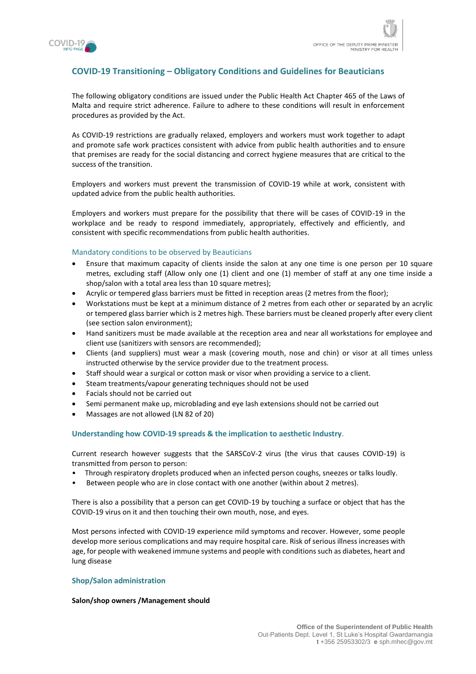

# **COVID-19 Transitioning – Obligatory Conditions and Guidelines for Beauticians**

The following obligatory conditions are issued under the Public Health Act Chapter 465 of the Laws of Malta and require strict adherence. Failure to adhere to these conditions will result in enforcement procedures as provided by the Act.

As COVID-19 restrictions are gradually relaxed, employers and workers must work together to adapt and promote safe work practices consistent with advice from public health authorities and to ensure that premises are ready for the social distancing and correct hygiene measures that are critical to the success of the transition.

Employers and workers must prevent the transmission of COVID-19 while at work, consistent with updated advice from the public health authorities.

Employers and workers must prepare for the possibility that there will be cases of COVID-19 in the workplace and be ready to respond immediately, appropriately, effectively and efficiently, and consistent with specific recommendations from public health authorities.

### Mandatory conditions to be observed by Beauticians

- Ensure that maximum capacity of clients inside the salon at any one time is one person per 10 square metres, excluding staff (Allow only one (1) client and one (1) member of staff at any one time inside a shop/salon with a total area less than 10 square metres);
- Acrylic or tempered glass barriers must be fitted in reception areas (2 metres from the floor);
- Workstations must be kept at a minimum distance of 2 metres from each other or separated by an acrylic or tempered glass barrier which is 2 metres high. These barriers must be cleaned properly after every client (see section salon environment);
- Hand sanitizers must be made available at the reception area and near all workstations for employee and client use (sanitizers with sensors are recommended);
- Clients (and suppliers) must wear a mask (covering mouth, nose and chin) or visor at all times unless instructed otherwise by the service provider due to the treatment process.
- Staff should wear a surgical or cotton mask or visor when providing a service to a client.
- Steam treatments/vapour generating techniques should not be used
- Facials should not be carried out
- Semi permanent make up, microblading and eye lash extensions should not be carried out
- Massages are not allowed (LN 82 of 20)

#### **Understanding how COVID-19 spreads & the implication to aesthetic Industry**.

Current research however suggests that the SARSCoV-2 virus (the virus that causes COVID-19) is transmitted from person to person:

- Through respiratory droplets produced when an infected person coughs, sneezes or talks loudly.
- Between people who are in close contact with one another (within about 2 metres).

There is also a possibility that a person can get COVID-19 by touching a surface or object that has the COVID-19 virus on it and then touching their own mouth, nose, and eyes.

Most persons infected with COVID-19 experience mild symptoms and recover. However, some people develop more serious complications and may require hospital care. Risk of serious illness increases with age, for people with weakened immune systems and people with conditions such as diabetes, heart and lung disease

#### **Shop/Salon administration**

#### **Salon/shop owners /Management should**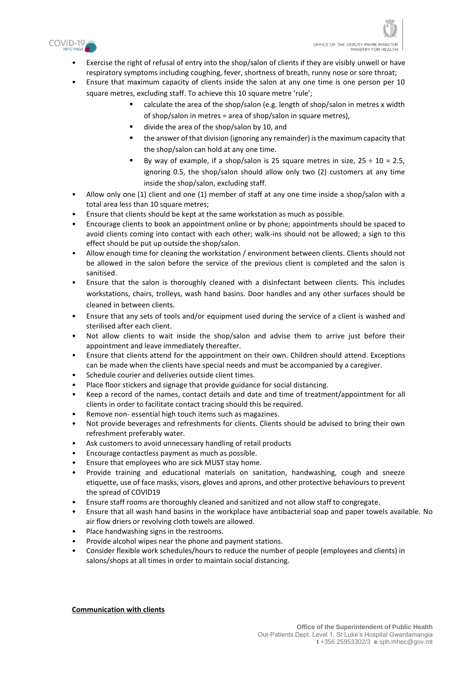

- Exercise the right of refusal of entry into the shop/salon of clients if they are visibly unwell or have respiratory symptoms including coughing, fever, shortness of breath, runny nose or sore throat;
- Ensure that maximum capacity of clients inside the salon at any one time is one person per 10 square metres, excluding staff. To achieve this 10 square metre 'rule';
	- calculate the area of the shop/salon (e.g. length of shop/salon in metres x width of shop/salon in metres = area of shop/salon in square metres),
	- divide the area of the shop/salon by 10, and
	- the answer of that division (ignoring any remainder) is the maximum capacity that the shop/salon can hold at any one time.
	- By way of example, if a shop/salon is 25 square metres in size,  $25 \div 10 = 2.5$ , ignoring 0.5, the shop/salon should allow only two (2) customers at any time inside the shop/salon, excluding staff.
- Allow only one (1) client and one (1) member of staff at any one time inside a shop/salon with a total area less than 10 square metres;
- Ensure that clients should be kept at the same workstation as much as possible.
- Encourage clients to book an appointment online or by phone; appointments should be spaced to avoid clients coming into contact with each other; walk-ins should not be allowed; a sign to this effect should be put up outside the shop/salon.
- Allow enough time for cleaning the workstation / environment between clients. Clients should not be allowed in the salon before the service of the previous client is completed and the salon is sanitised.
- Ensure that the salon is thoroughly cleaned with a disinfectant between clients. This includes workstations, chairs, trolleys, wash hand basins. Door handles and any other surfaces should be cleaned in between clients.
- Ensure that any sets of tools and/or equipment used during the service of a client is washed and sterilised after each client.
- Not allow clients to wait inside the shop/salon and advise them to arrive just before their appointment and leave immediately thereafter.
- Ensure that clients attend for the appointment on their own. Children should attend. Exceptions can be made when the clients have special needs and must be accompanied by a caregiver.
- Schedule courier and deliveries outside client times.
- Place floor stickers and signage that provide guidance for social distancing.
- Keep a record of the names, contact details and date and time of treatment/appointment for all clients in order to facilitate contact tracing should this be required.
- Remove non- essential high touch items such as magazines.
- Not provide beverages and refreshments for clients. Clients should be advised to bring their own refreshment preferably water.
- Ask customers to avoid unnecessary handling of retail products
- Encourage contactless payment as much as possible.
- Ensure that employees who are sick MUST stay home.
- Provide training and educational materials on sanitation, handwashing, cough and sneeze etiquette, use of face masks, visors, gloves and aprons, and other protective behaviours to prevent the spread of COVID19
- Ensure staff rooms are thoroughly cleaned and sanitized and not allow staff to congregate.
- Ensure that all wash hand basins in the workplace have antibacterial soap and paper towels available. No air flow driers or revolving cloth towels are allowed.
- Place handwashing signs in the restrooms.
- Provide alcohol wipes near the phone and payment stations.
- Consider flexible work schedules/hours to reduce the number of people (employees and clients) in salons/shops at all times in order to maintain social distancing.

**Communication with clients**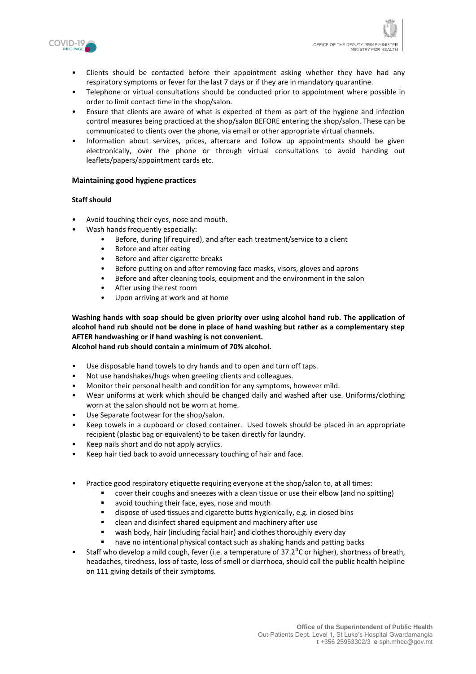

- Clients should be contacted before their appointment asking whether they have had any respiratory symptoms or fever for the last 7 days or if they are in mandatory quarantine.
- Telephone or virtual consultations should be conducted prior to appointment where possible in order to limit contact time in the shop/salon.
- Ensure that clients are aware of what is expected of them as part of the hygiene and infection control measures being practiced at the shop/salon BEFORE entering the shop/salon. These can be communicated to clients over the phone, via email or other appropriate virtual channels.
- Information about services, prices, aftercare and follow up appointments should be given electronically, over the phone or through virtual consultations to avoid handing out leaflets/papers/appointment cards etc.

# **Maintaining good hygiene practices**

# **Staff should**

- Avoid touching their eyes, nose and mouth.
- Wash hands frequently especially:
	- Before, during (if required), and after each treatment/service to a client
	- Before and after eating
	- Before and after cigarette breaks
	- Before putting on and after removing face masks, visors, gloves and aprons
	- Before and after cleaning tools, equipment and the environment in the salon
	- After using the rest room
	- Upon arriving at work and at home

**Washing hands with soap should be given priority over using alcohol hand rub. The application of alcohol hand rub should not be done in place of hand washing but rather as a complementary step AFTER handwashing or if hand washing is not convenient.** 

**Alcohol hand rub should contain a minimum of 70% alcohol.**

- Use disposable hand towels to dry hands and to open and turn off taps.
- Not use handshakes/hugs when greeting clients and colleagues.
- Monitor their personal health and condition for any symptoms, however mild.
- Wear uniforms at work which should be changed daily and washed after use. Uniforms/clothing worn at the salon should not be worn at home.
- Use Separate footwear for the shop/salon.
- Keep towels in a cupboard or closed container. Used towels should be placed in an appropriate recipient (plastic bag or equivalent) to be taken directly for laundry.
- Keep nails short and do not apply acrylics.
- Keep hair tied back to avoid unnecessary touching of hair and face.
- Practice good respiratory etiquette requiring everyone at the shop/salon to, at all times:
	- cover their coughs and sneezes with a clean tissue or use their elbow (and no spitting)
	- **a** avoid touching their face, eyes, nose and mouth
	- dispose of used tissues and cigarette butts hygienically, e.g. in closed bins
	- clean and disinfect shared equipment and machinery after use
	- wash body, hair (including facial hair) and clothes thoroughly every day
	- have no intentional physical contact such as shaking hands and patting backs
- Staff who develop a mild cough, fever (i.e. a temperature of  $37.2^{\circ}$ C or higher), shortness of breath, headaches, tiredness, loss of taste, loss of smell or diarrhoea, should call the public health helpline on 111 giving details of their symptoms.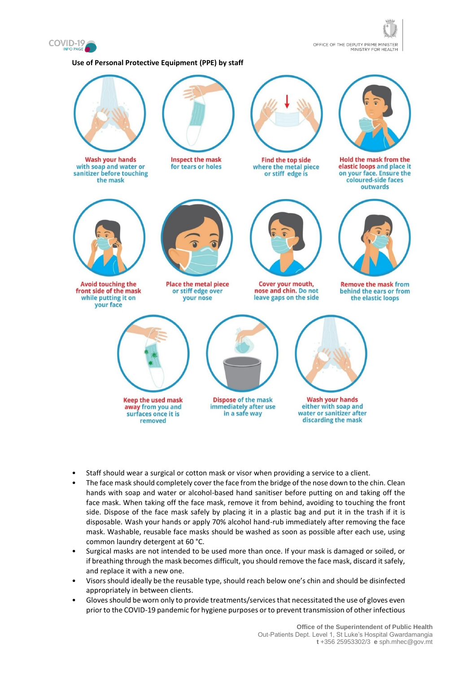

OFFICE OF THE DEPUTY PRIME MINISTER<br>MINISTRY FOR HEALTH

#### **Use of Personal Protective Equipment (PPE) by staff**



- Staff should wear a surgical or cotton mask or visor when providing a service to a client.
- The face mask should completely cover the face from the bridge of the nose down to the chin. Clean hands with soap and water or alcohol-based hand sanitiser before putting on and taking off the face mask. When taking off the face mask, remove it from behind, avoiding to touching the front side. Dispose of the face mask safely by placing it in a plastic bag and put it in the trash if it is disposable. Wash your hands or apply 70% alcohol hand-rub immediately after removing the face mask. Washable, reusable face masks should be washed as soon as possible after each use, using common laundry detergent at 60 °C.
- Surgical masks are not intended to be used more than once. If your mask is damaged or soiled, or if breathing through the mask becomes difficult, you should remove the face mask, discard it safely, and replace it with a new one.
- Visors should ideally be the reusable type, should reach below one's chin and should be disinfected appropriately in between clients.
- Gloves should be worn only to provide treatments/services that necessitated the use of gloves even prior to the COVID-19 pandemic for hygiene purposes or to prevent transmission of other infectious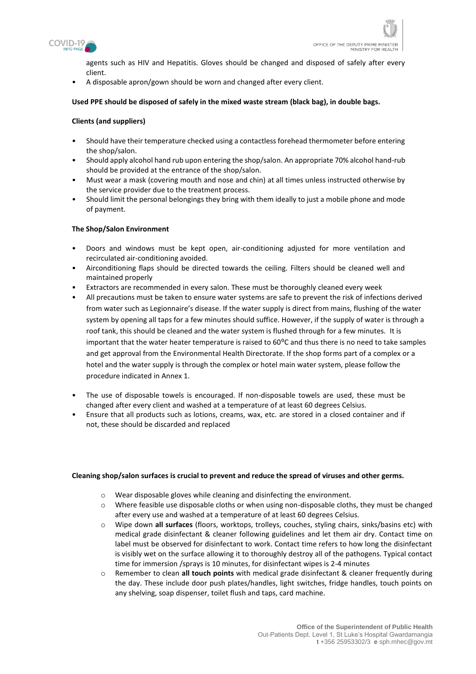

agents such as HIV and Hepatitis. Gloves should be changed and disposed of safely after every client.

• A disposable apron/gown should be worn and changed after every client.

### **Used PPE should be disposed of safely in the mixed waste stream (black bag), in double bags.**

### **Clients (and suppliers)**

- Should have their temperature checked using a contactless forehead thermometer before entering the shop/salon.
- Should apply alcohol hand rub upon entering the shop/salon. An appropriate 70% alcohol hand-rub should be provided at the entrance of the shop/salon.
- Must wear a mask (covering mouth and nose and chin) at all times unless instructed otherwise by the service provider due to the treatment process.
- Should limit the personal belongings they bring with them ideally to just a mobile phone and mode of payment.

### **The Shop/Salon Environment**

- Doors and windows must be kept open, air-conditioning adjusted for more ventilation and recirculated air-conditioning avoided.
- Airconditioning flaps should be directed towards the ceiling. Filters should be cleaned well and maintained properly
- Extractors are recommended in every salon. These must be thoroughly cleaned every week
- All precautions must be taken to ensure water systems are safe to prevent the risk of infections derived from water such as Legionnaire's disease. If the water supply is direct from mains, flushing of the water system by opening all taps for a few minutes should suffice. However, if the supply of water is through a roof tank, this should be cleaned and the water system is flushed through for a few minutes. It is important that the water heater temperature is raised to  $60^{\circ}$ C and thus there is no need to take samples and get approval from the Environmental Health Directorate. If the shop forms part of a complex or a hotel and the water supply is through the complex or hotel main water system, please follow the procedure indicated in Annex 1.
- The use of disposable towels is encouraged. If non-disposable towels are used, these must be changed after every client and washed at a temperature of at least 60 degrees Celsius.
- Ensure that all products such as lotions, creams, wax, etc. are stored in a closed container and if not, these should be discarded and replaced

#### **Cleaning shop/salon surfaces is crucial to prevent and reduce the spread of viruses and other germs.**

- o Wear disposable gloves while cleaning and disinfecting the environment.
- o Where feasible use disposable cloths or when using non-disposable cloths, they must be changed after every use and washed at a temperature of at least 60 degrees Celsius.
- o Wipe down **all surfaces** (floors, worktops, trolleys, couches, styling chairs, sinks/basins etc) with medical grade disinfectant & cleaner following guidelines and let them air dry. Contact time on label must be observed for disinfectant to work. Contact time refers to how long the disinfectant is visibly wet on the surface allowing it to thoroughly destroy all of the pathogens. Typical contact time for immersion /sprays is 10 minutes, for disinfectant wipes is 2-4 minutes
- o Remember to clean **all touch points** with medical grade disinfectant & cleaner frequently during the day. These include door push plates/handles, light switches, fridge handles, touch points on any shelving, soap dispenser, toilet flush and taps, card machine.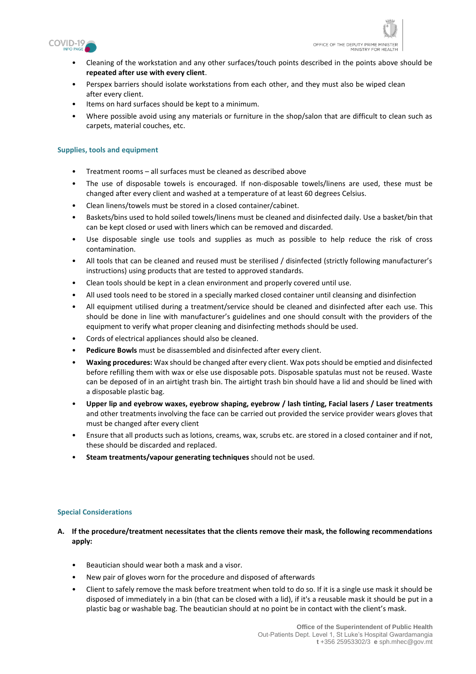

- Cleaning of the workstation and any other surfaces/touch points described in the points above should be **repeated after use with every client**.
- Perspex barriers should isolate workstations from each other, and they must also be wiped clean after every client.
- Items on hard surfaces should be kept to a minimum.
- Where possible avoid using any materials or furniture in the shop/salon that are difficult to clean such as carpets, material couches, etc.

# **Supplies, tools and equipment**

- Treatment rooms all surfaces must be cleaned as described above
- The use of disposable towels is encouraged. If non-disposable towels/linens are used, these must be changed after every client and washed at a temperature of at least 60 degrees Celsius.
- Clean linens/towels must be stored in a closed container/cabinet.
- Baskets/bins used to hold soiled towels/linens must be cleaned and disinfected daily. Use a basket/bin that can be kept closed or used with liners which can be removed and discarded.
- Use disposable single use tools and supplies as much as possible to help reduce the risk of cross contamination.
- All tools that can be cleaned and reused must be sterilised / disinfected (strictly following manufacturer's instructions) using products that are tested to approved standards.
- Clean tools should be kept in a clean environment and properly covered until use.
- All used tools need to be stored in a specially marked closed container until cleansing and disinfection
- All equipment utilised during a treatment/service should be cleaned and disinfected after each use. This should be done in line with manufacturer's guidelines and one should consult with the providers of the equipment to verify what proper cleaning and disinfecting methods should be used.
- Cords of electrical appliances should also be cleaned.
- **Pedicure Bowls** must be disassembled and disinfected after every client.
- **Waxing procedures:** Wax should be changed after every client. Wax pots should be emptied and disinfected before refilling them with wax or else use disposable pots. Disposable spatulas must not be reused. Waste can be deposed of in an airtight trash bin. The airtight trash bin should have a lid and should be lined with a disposable plastic bag.
- **Upper lip and eyebrow waxes, eyebrow shaping, eyebrow / lash tinting, Facial lasers / Laser treatments** and other treatments involving the face can be carried out provided the service provider wears gloves that must be changed after every client
- Ensure that all products such as lotions, creams, wax, scrubs etc. are stored in a closed container and if not, these should be discarded and replaced.
- **Steam treatments/vapour generating techniques** should not be used.

### **Special Considerations**

- **A. If the procedure/treatment necessitates that the clients remove their mask, the following recommendations apply:**
	- Beautician should wear both a mask and a visor.
	- New pair of gloves worn for the procedure and disposed of afterwards
	- Client to safely remove the mask before treatment when told to do so. If it is a single use mask it should be disposed of immediately in a bin (that can be closed with a lid), if it's a reusable mask it should be put in a plastic bag or washable bag. The beautician should at no point be in contact with the client's mask.